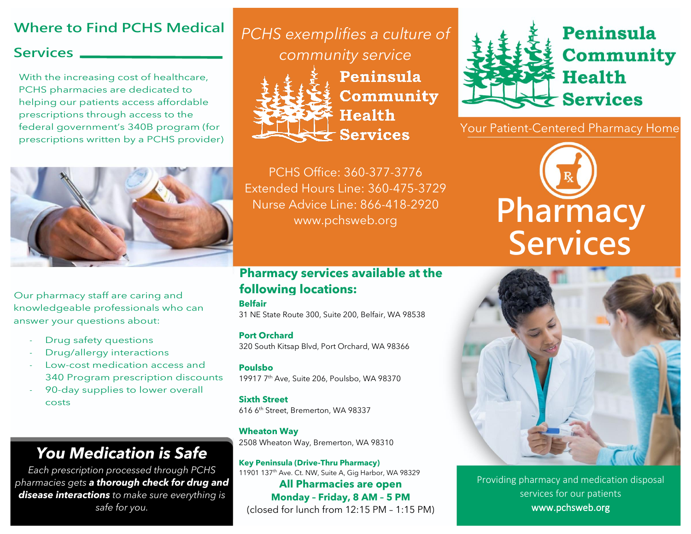### **Where to Find PCHS Medical**

#### **Services**

With the increasing cost of healthcare, PCHS pharmacies are dedicated to helping our patients access affordable prescriptions through access to the federal government's 340B program (for prescriptions written by a PCHS provider)



Our pharmacy staff are caring and knowledgeable professionals who can answer your questions about:

- Drug safety questions
- Drug/allergy interactions
- Low-cost medication access and 340 Program prescription discounts
- 90-day supplies to lower overall costs

## *You Medication is Safe*

*Each prescription processed through PCHS pharmacies gets a thorough check for drug and disease interactions to make sure everything is safe for you.*

*PCHS exemplifies a culture of* 

*community service*



Peninsula Community **Health Services** 

PCHS Office: 360-377-3776 Extended Hours Line: 360-475-3729 Nurse Advice Line: 866-418-2920 www.pchsweb.org

#### **Pharmacy services available at the following locations:**

#### **Belfair**

31 NE State Route 300, Suite 200, Belfair, WA 98538

**Port Orchard**

320 South Kitsap Blvd, Port Orchard, WA 98366

**Poulsbo** 19917 7th Ave, Suite 206, Poulsbo, WA 98370

**Sixth Street** 616 6th Street, Bremerton, WA 98337

**Wheaton Way** 2508 Wheaton Way, Bremerton, WA 98310

**Key Peninsula (Drive-Thru Pharmacy)** 11901 137<sup>th</sup> Ave. Ct. NW, Suite A, Gig Harbor, WA 98329 **All Pharmacies are open Monday – Friday, 8 AM – 5 PM** (closed for lunch from 12:15 PM – 1:15 PM)



Your Patient-Centered Pharmacy Home





Providing pharmacy and medication disposal services for our patients www.pchsweb.org